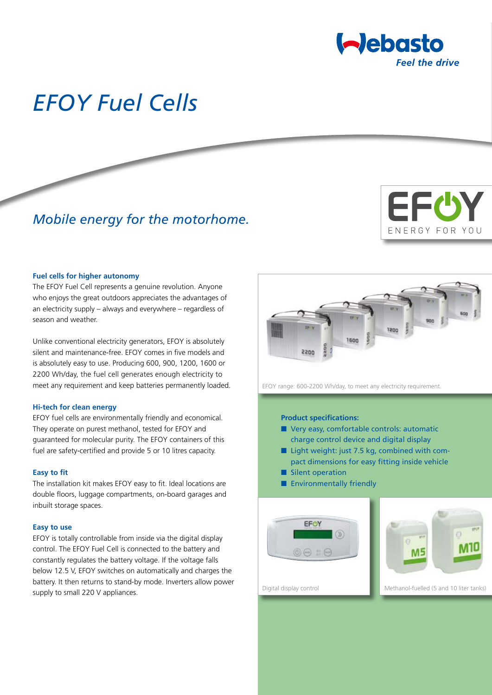

# *EFOY Fuel Cells*

# *Mobile energy for the motorhome.*



#### **Fuel cells for higher autonomy**

The EFOY Fuel Cell represents a genuine revolution. Anyone who enjoys the great outdoors appreciates the advantages of an electricity supply – always and everywhere – regardless of season and weather.

Unlike conventional electricity generators, EFOY is absolutely silent and maintenance-free. EFOY comes in five models and is absolutely easy to use. Producing 600, 900, 1200, 1600 or 2200 Wh/day, the fuel cell generates enough electricity to meet any requirement and keep batteries permanently loaded.

#### **Hi-tech for clean energy**

EFOY fuel cells are environmentally friendly and economical. They operate on purest methanol, tested for EFOY and guaranteed for molecular purity. The EFOY containers of this fuel are safety-certified and provide 5 or 10 litres capacity.

#### **Easy to fit**

The installation kit makes EFOY easy to fit. Ideal locations are double floors, luggage compartments, on-board garages and inbuilt storage spaces.

#### **Easy to use**

EFOY is totally controllable from inside via the digital display control. The EFOY Fuel Cell is connected to the battery and constantly regulates the battery voltage. If the voltage falls below 12.5 V, EFOY switches on automatically and charges the battery. It then returns to stand-by mode. Inverters allow power supply to small 220 V appliances.



EFOY range: 600-2200 Wh/day, to meet any electricity requirement.

#### **Product specifications:**

- Very easy, comfortable controls: automatic charge control device and digital display
- Light weight: just 7.5 kg, combined with compact dimensions for easy fitting inside vehicle
- Silent operation
- Environmentally friendly